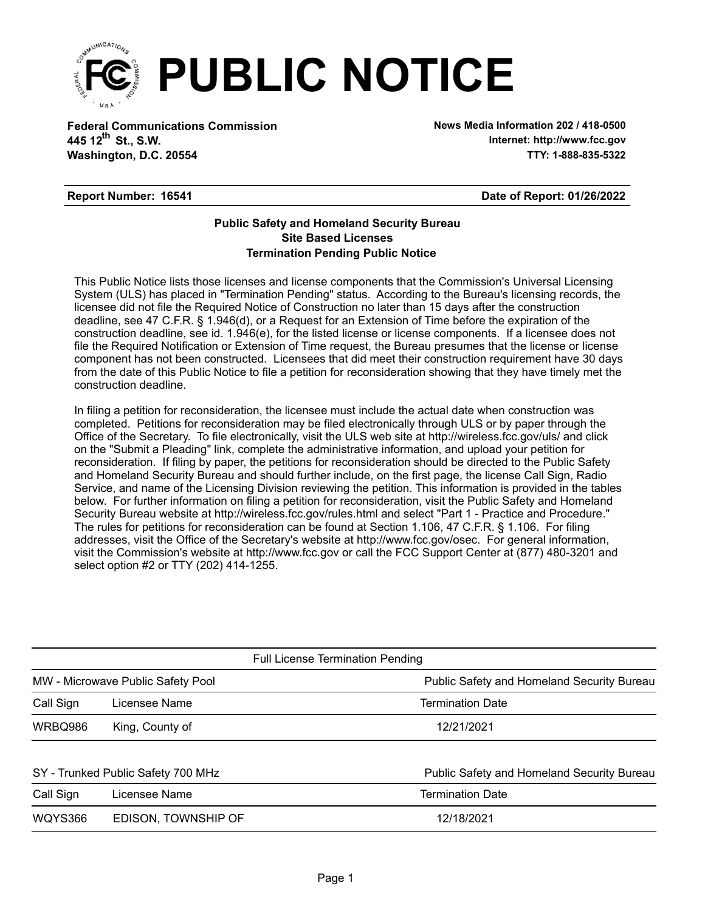

**Federal Communications Commission News Media Information 202 / 418-0500 Washington, D.C. 20554 TTY: 1-888-835-5322 445 12<sup>th</sup> St., S.W.** 

**Internet: http://www.fcc.gov**

## **Report Number: 16541**

**Date of Report: 01/26/2022**

## **Termination Pending Public Notice Site Based Licenses Public Safety and Homeland Security Bureau**

This Public Notice lists those licenses and license components that the Commission's Universal Licensing System (ULS) has placed in "Termination Pending" status. According to the Bureau's licensing records, the licensee did not file the Required Notice of Construction no later than 15 days after the construction deadline, see 47 C.F.R. § 1.946(d), or a Request for an Extension of Time before the expiration of the construction deadline, see id. 1.946(e), for the listed license or license components. If a licensee does not file the Required Notification or Extension of Time request, the Bureau presumes that the license or license component has not been constructed. Licensees that did meet their construction requirement have 30 days from the date of this Public Notice to file a petition for reconsideration showing that they have timely met the construction deadline.

In filing a petition for reconsideration, the licensee must include the actual date when construction was completed. Petitions for reconsideration may be filed electronically through ULS or by paper through the Office of the Secretary. To file electronically, visit the ULS web site at http://wireless.fcc.gov/uls/ and click on the "Submit a Pleading" link, complete the administrative information, and upload your petition for reconsideration. If filing by paper, the petitions for reconsideration should be directed to the Public Safety and Homeland Security Bureau and should further include, on the first page, the license Call Sign, Radio Service, and name of the Licensing Division reviewing the petition. This information is provided in the tables below. For further information on filing a petition for reconsideration, visit the Public Safety and Homeland Security Bureau website at http://wireless.fcc.gov/rules.html and select "Part 1 - Practice and Procedure." The rules for petitions for reconsideration can be found at Section 1.106, 47 C.F.R. § 1.106. For filing addresses, visit the Office of the Secretary's website at http://www.fcc.gov/osec. For general information, visit the Commission's website at http://www.fcc.gov or call the FCC Support Center at (877) 480-3201 and select option #2 or TTY (202) 414-1255.

| <b>Full License Termination Pending</b> |                                            |  |  |  |  |  |
|-----------------------------------------|--------------------------------------------|--|--|--|--|--|
| MW - Microwave Public Safety Pool       | Public Safety and Homeland Security Bureau |  |  |  |  |  |
| Licensee Name                           | <b>Termination Date</b>                    |  |  |  |  |  |
| King, County of                         | 12/21/2021                                 |  |  |  |  |  |
|                                         |                                            |  |  |  |  |  |
| SY - Trunked Public Safety 700 MHz      | Public Safety and Homeland Security Bureau |  |  |  |  |  |
| Licensee Name                           | <b>Termination Date</b>                    |  |  |  |  |  |
| EDISON, TOWNSHIP OF                     | 12/18/2021                                 |  |  |  |  |  |
|                                         |                                            |  |  |  |  |  |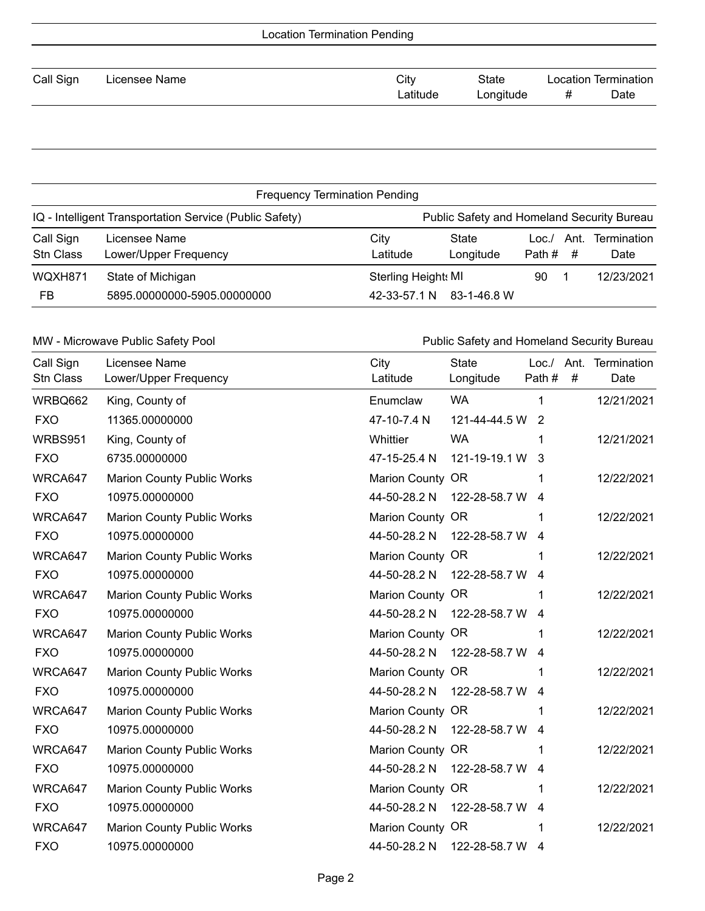| <b>Location Termination Pending</b> |               |  |          |           |   |                             |  |
|-------------------------------------|---------------|--|----------|-----------|---|-----------------------------|--|
|                                     |               |  |          |           |   |                             |  |
| Call Sign                           | Licensee Name |  | City     | State     |   | <b>Location Termination</b> |  |
|                                     |               |  | Latitude | Longitude | # | Date                        |  |
|                                     |               |  |          |           |   |                             |  |

| <b>Frequency Termination Pending</b>                                                                  |                                                  |                                            |                    |                               |                            |
|-------------------------------------------------------------------------------------------------------|--------------------------------------------------|--------------------------------------------|--------------------|-------------------------------|----------------------------|
| IQ - Intelligent Transportation Service (Public Safety)<br>Public Safety and Homeland Security Bureau |                                                  |                                            |                    |                               |                            |
| Call Sign<br><b>Stn Class</b>                                                                         | Licensee Name<br>Lower/Upper Frequency           | City<br>Latitude                           | State<br>Longitude | Ant.<br>Loc./<br>Path #<br>-# | <b>Termination</b><br>Date |
| WQXH871<br>FB                                                                                         | State of Michigan<br>5895.00000000-5905.00000000 | <b>Sterling Height: MI</b><br>42-33-57.1 N | 83-1-46.8 W        | 90                            | 12/23/2021                 |

MW - Microwave Public Safety Pool **Public Safety and Homeland Security Bureau** 

| Call Sign<br><b>Stn Class</b> | Licensee Name<br>Lower/Upper Frequency | City<br>Latitude | <b>State</b><br>Longitude | Loc./ Ant.<br>Path # | $\#$ | Termination<br>Date |
|-------------------------------|----------------------------------------|------------------|---------------------------|----------------------|------|---------------------|
| WRBQ662                       | King, County of                        | Enumclaw         | <b>WA</b>                 | 1                    |      | 12/21/2021          |
| <b>FXO</b>                    | 11365.00000000                         | 47-10-7.4 N      | 121-44-44.5 W             | $\overline{2}$       |      |                     |
| <b>WRBS951</b>                | King, County of                        | Whittier         | <b>WA</b>                 | 1                    |      | 12/21/2021          |
| <b>FXO</b>                    | 6735.00000000                          | 47-15-25.4 N     | 121-19-19.1 W             | 3                    |      |                     |
| WRCA647                       | <b>Marion County Public Works</b>      | Marion County OR |                           | 1                    |      | 12/22/2021          |
| <b>FXO</b>                    | 10975.00000000                         | 44-50-28.2 N     | 122-28-58.7 W             | 4                    |      |                     |
| WRCA647                       | <b>Marion County Public Works</b>      | Marion County OR |                           | 1                    |      | 12/22/2021          |
| <b>FXO</b>                    | 10975.00000000                         | 44-50-28.2 N     | 122-28-58.7 W             | 4                    |      |                     |
| WRCA647                       | <b>Marion County Public Works</b>      | Marion County OR |                           | 1                    |      | 12/22/2021          |
| <b>FXO</b>                    | 10975.00000000                         | 44-50-28.2 N     | 122-28-58.7 W             | 4                    |      |                     |
| WRCA647                       | <b>Marion County Public Works</b>      | Marion County OR |                           |                      |      | 12/22/2021          |
| <b>FXO</b>                    | 10975.00000000                         | 44-50-28.2 N     | 122-28-58.7 W             | 4                    |      |                     |
| WRCA647                       | <b>Marion County Public Works</b>      | Marion County OR |                           | 1                    |      | 12/22/2021          |
| <b>FXO</b>                    | 10975.00000000                         | 44-50-28.2 N     | 122-28-58.7 W             | 4                    |      |                     |
| WRCA647                       | Marion County Public Works             | Marion County OR |                           |                      |      | 12/22/2021          |
| <b>FXO</b>                    | 10975.00000000                         | 44-50-28.2 N     | 122-28-58.7 W             | 4                    |      |                     |
| WRCA647                       | Marion County Public Works             | Marion County OR |                           |                      |      | 12/22/2021          |
| <b>FXO</b>                    | 10975.00000000                         | 44-50-28.2 N     | 122-28-58.7 W             | 4                    |      |                     |
| WRCA647                       | <b>Marion County Public Works</b>      | Marion County OR |                           |                      |      | 12/22/2021          |
| <b>FXO</b>                    | 10975.00000000                         | 44-50-28.2 N     | 122-28-58.7 W             | 4                    |      |                     |
| WRCA647                       | Marion County Public Works             | Marion County OR |                           | 1                    |      | 12/22/2021          |
| <b>FXO</b>                    | 10975.00000000                         | 44-50-28.2 N     | 122-28-58.7 W             | 4                    |      |                     |
| WRCA647                       | <b>Marion County Public Works</b>      | Marion County OR |                           |                      |      | 12/22/2021          |
| <b>FXO</b>                    | 10975.00000000                         | 44-50-28.2 N     | 122-28-58.7 W             | 4                    |      |                     |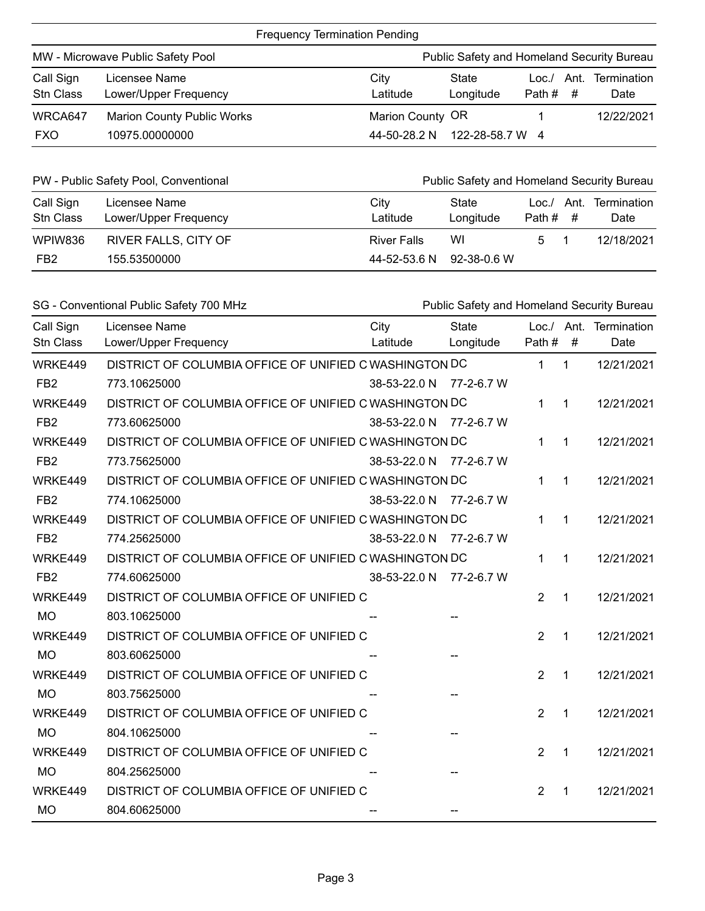| <b>Frequency Termination Pending</b>                                            |                                        |                  |                    |                 |             |                            |
|---------------------------------------------------------------------------------|----------------------------------------|------------------|--------------------|-----------------|-------------|----------------------------|
| MW - Microwave Public Safety Pool<br>Public Safety and Homeland Security Bureau |                                        |                  |                    |                 |             |                            |
| Call Sign<br>Stn Class                                                          | Licensee Name<br>Lower/Upper Frequency | City<br>Latitude | State<br>Longitude | Loc./<br>Path # | Ant.<br>- # | <b>Termination</b><br>Date |
| WRCA647                                                                         | <b>Marion County Public Works</b>      | Marion County OR |                    |                 |             | 12/22/2021                 |
| <b>FXO</b>                                                                      | 10975.00000000                         | 44-50-28.2 N     | 122-28-58.7 W 4    |                 |             |                            |

| PW - Public Safety Pool, Conventional<br>Public Safety and Homeland Security Bureau |                                        |                    |                    |                                |                     |
|-------------------------------------------------------------------------------------|----------------------------------------|--------------------|--------------------|--------------------------------|---------------------|
| Call Sign<br><b>Stn Class</b>                                                       | Licensee Name<br>Lower/Upper Frequency | City<br>Latitude   | State<br>Longitude | $Loc./$ Ant.<br>Path $\#$ $\#$ | Termination<br>Date |
| WPIW836                                                                             | <b>RIVER FALLS, CITY OF</b>            | <b>River Falls</b> | WI                 |                                | 12/18/2021          |
| FB <sub>2</sub>                                                                     | 155.53500000                           | 44-52-53.6 N       | 92-38-0.6 W        |                                |                     |

|                               | SG - Conventional Public Safety 700 MHz                | Public Safety and Homeland Security Bureau |                           |                |              |                                |
|-------------------------------|--------------------------------------------------------|--------------------------------------------|---------------------------|----------------|--------------|--------------------------------|
| Call Sign<br><b>Stn Class</b> | Licensee Name<br>Lower/Upper Frequency                 | City<br>Latitude                           | <b>State</b><br>Longitude | Path #         | #            | Loc./ Ant. Termination<br>Date |
| WRKE449                       | DISTRICT OF COLUMBIA OFFICE OF UNIFIED C WASHINGTON DC |                                            |                           | $\mathbf 1$    | $\mathbf{1}$ | 12/21/2021                     |
| FB <sub>2</sub>               | 773.10625000                                           | 38-53-22.0 N                               | 77-2-6.7 W                |                |              |                                |
| WRKE449                       | DISTRICT OF COLUMBIA OFFICE OF UNIFIED C WASHINGTON DC |                                            |                           | 1              | $\mathbf 1$  | 12/21/2021                     |
| FB <sub>2</sub>               | 773.60625000                                           | 38-53-22.0 N                               | 77-2-6.7 W                |                |              |                                |
| WRKE449                       | DISTRICT OF COLUMBIA OFFICE OF UNIFIED C WASHINGTON DC |                                            |                           | 1              | $\mathbf 1$  | 12/21/2021                     |
| FB <sub>2</sub>               | 773.75625000                                           | 38-53-22.0 N 77-2-6.7 W                    |                           |                |              |                                |
| WRKE449                       | DISTRICT OF COLUMBIA OFFICE OF UNIFIED C WASHINGTON DC |                                            |                           | 1              | 1            | 12/21/2021                     |
| FB <sub>2</sub>               | 774.10625000                                           | 38-53-22.0 N                               | 77-2-6.7 W                |                |              |                                |
| WRKE449                       | DISTRICT OF COLUMBIA OFFICE OF UNIFIED C WASHINGTON DC |                                            |                           | 1              | 1            | 12/21/2021                     |
| FB <sub>2</sub>               | 774.25625000                                           | 38-53-22.0 N                               | 77-2-6.7 W                |                |              |                                |
| WRKE449                       | DISTRICT OF COLUMBIA OFFICE OF UNIFIED C WASHINGTON DC |                                            |                           | 1              | 1            | 12/21/2021                     |
| FB <sub>2</sub>               | 774.60625000                                           | 38-53-22.0 N                               | 77-2-6.7 W                |                |              |                                |
| WRKE449                       | DISTRICT OF COLUMBIA OFFICE OF UNIFIED C               |                                            |                           | $\overline{2}$ | 1            | 12/21/2021                     |
| <b>MO</b>                     | 803.10625000                                           |                                            |                           |                |              |                                |
| WRKE449                       | DISTRICT OF COLUMBIA OFFICE OF UNIFIED C               |                                            |                           | $\overline{2}$ | $\mathbf 1$  | 12/21/2021                     |
| <b>MO</b>                     | 803.60625000                                           |                                            |                           |                |              |                                |
| WRKE449                       | DISTRICT OF COLUMBIA OFFICE OF UNIFIED C               |                                            |                           | $\overline{2}$ | $\mathbf 1$  | 12/21/2021                     |
| <b>MO</b>                     | 803.75625000                                           |                                            |                           |                |              |                                |
| WRKE449                       | DISTRICT OF COLUMBIA OFFICE OF UNIFIED C               |                                            |                           | 2              | 1            | 12/21/2021                     |
| <b>MO</b>                     | 804.10625000                                           |                                            |                           |                |              |                                |
| WRKE449                       | DISTRICT OF COLUMBIA OFFICE OF UNIFIED C               |                                            |                           | $\overline{2}$ | 1            | 12/21/2021                     |
| <b>MO</b>                     | 804.25625000                                           |                                            |                           |                |              |                                |
| WRKE449                       | DISTRICT OF COLUMBIA OFFICE OF UNIFIED C               |                                            |                           | $\overline{2}$ | 1            | 12/21/2021                     |
| <b>MO</b>                     | 804.60625000                                           |                                            |                           |                |              |                                |